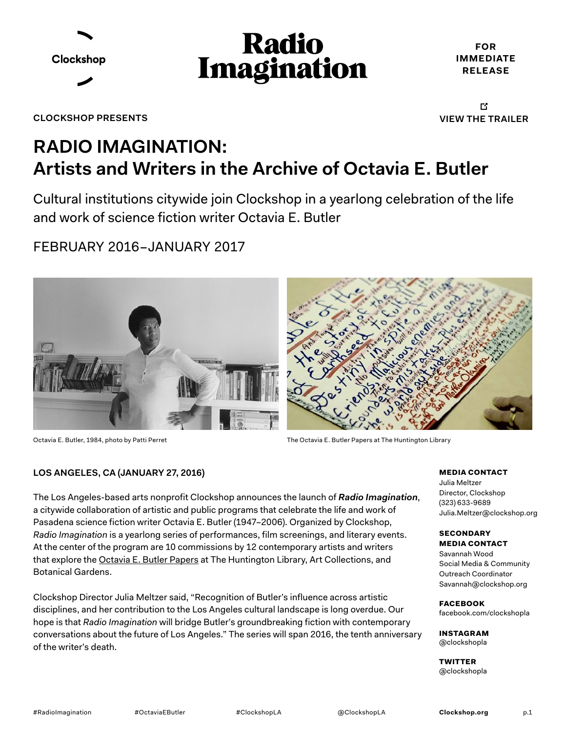



**FOR IMMEDIATE RELEASE**

**CLOCKSHOP PRESENTS**

吖 **[VIEW THE TRAILER](http://clockshop.org/project/trailers-and-videos/)** 

### **RADIO IMAGINATION: Artists and Writers in the Archive of Octavia E. Butler**

Cultural institutions citywide join Clockshop in a yearlong celebration of the life and work of science fiction writer Octavia E. Butler

FEBRUARY 2016–JANUARY 2017



Octavia E. Butler, 1984, photo by Patti Perret



The Octavia E. Butler Papers at The Huntington Library

#### **LOS ANGELES, CA (JANUARY 27, 2016)**

The Los Angeles-based arts nonprofit Clockshop announces the launch of *[Radio Imagination](http://clockshop.org/project/radio-imagination/
)*, a citywide collaboration of artistic and public programs that celebrate the life and work of Pasadena science fiction writer Octavia E. Butler (1947–2006). Organized by Clockshop, *Radio Imagination* is a yearlong series of performances, film screenings, and literary events. At the center of the program are 10 commissions by 12 contemporary artists and writers that explore the [Octavia E. Butler Papers](http://www.huntington.org/octaviabutler) at The Huntington Library, Art Collections, and Botanical Gardens.

Clockshop Director Julia Meltzer said, "Recognition of Butler's influence across artistic disciplines, and her contribution to the Los Angeles cultural landscape is long overdue. Our hope is that *Radio Imagination* will bridge Butler's groundbreaking fiction with contemporary conversations about the future of Los Angeles." The series will span 2016, the tenth anniversary of the writer's death.

MEDIA CONTACT

Julia Meltzer Director, Clockshop (323) 633-9689 [Julia.Meltzer@clockshop.org](mailto:Julia%40clockshop.org?subject=Radio%20Imagination%20Request)

#### **SECONDARY** MEDIA CONTACT

Savannah Wood Social Media & Community Outreach Coordinator [Savannah@clockshop.org](mailto:savannah%40clockshop.org?subject=Radio%20Imagination%20Request)

FACEBOOK [facebook.com/clockshopla](http://www.facebook.com/clockshopla)

INSTAGRAM [@clockshopla](http://www.instagram.com/clockshopla)

**TWITTER** [@clockshopla](https://twitter.com/clockshopla)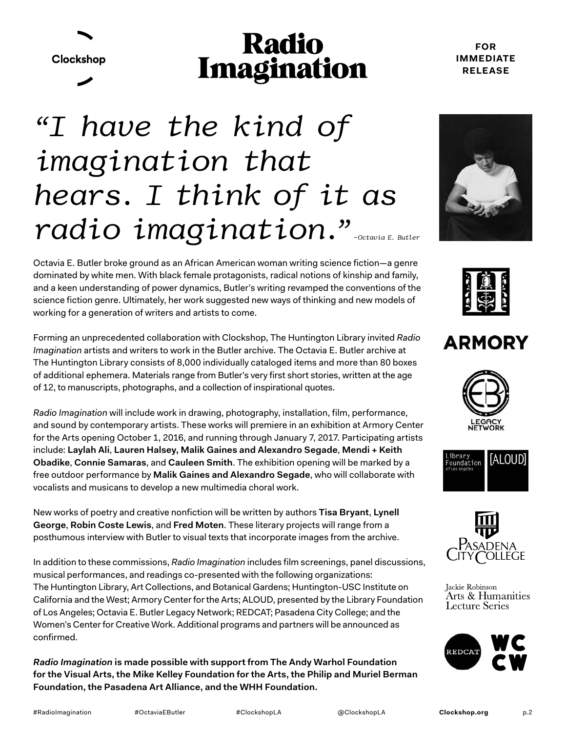Clockshop

## **Radio Imagination**

#### **FOR IMMEDIATE RELEASE**

# radio imagination." *"I have the kind of imagination that hears. I think of it as*

Octavia E. Butler broke ground as an African American woman writing science fiction—a genre dominated by white men. With black female protagonists, radical notions of kinship and family, and a keen understanding of power dynamics, Butler's writing revamped the conventions of the science fiction genre. Ultimately, her work suggested new ways of thinking and new models of working for a generation of writers and artists to come.

Forming an unprecedented collaboration with Clockshop, The Huntington Library invited *Radio Imagination* artists and writers to work in the Butler archive. The Octavia E. Butler archive at The Huntington Library consists of 8,000 individually cataloged items and more than 80 boxes of additional ephemera. Materials range from Butler's very first short stories, written at the age of 12, to manuscripts, photographs, and a collection of inspirational quotes.

*Radio Imagination* will include work in drawing, photography, installation, film, performance, and sound by contemporary artists. These works will premiere in an exhibition at Armory Center for the Arts opening October 1, 2016, and running through January 7, 2017. Participating artists include: **Laylah Ali**, **Lauren Halsey, Malik Gaines and Alexandro Segade**, **Mendi + Keith Obadike**, **Connie Samaras**, and **Cauleen Smith**. The exhibition opening will be marked by a free outdoor performance by **Malik Gaines and Alexandro Segade**, who will collaborate with vocalists and musicans to develop a new multimedia choral work.

New works of poetry and creative nonfiction will be written by authors **Tisa Bryant**, **Lynell George**, **Robin Coste Lewis**, and **Fred Moten**. These literary projects will range from a posthumous interview with Butler to visual texts that incorporate images from the archive.

In addition to these commissions, *Radio Imagination* includes film screenings, panel discussions, musical performances, and readings co-presented with the following organizations: The Huntington Library, Art Collections, and Botanical Gardens; Huntington-USC Institute on California and the West; Armory Center for the Arts; ALOUD, presented by the Library Foundation of Los Angeles; Octavia E. Butler Legacy Network; REDCAT; Pasadena City College; and the Women's Center for Creative Work. Additional programs and partners will be announced as confirmed.

*Radio Imagination* **is made possible with support from The Andy Warhol Foundation for the Visual Arts, the Mike Kelley Foundation for the Arts, the Philip and Muriel Berman Foundation, the Pasadena Art Alliance, and the WHH Foundation.**





### **ARMORY**







Jackie Robinson Arts & Humanities **Lecture Series** 



#RadioImagination #OctaviaEButler #ClockshopLA @ClockshopLA **[Clockshop.org](http://www.clockshop.org)**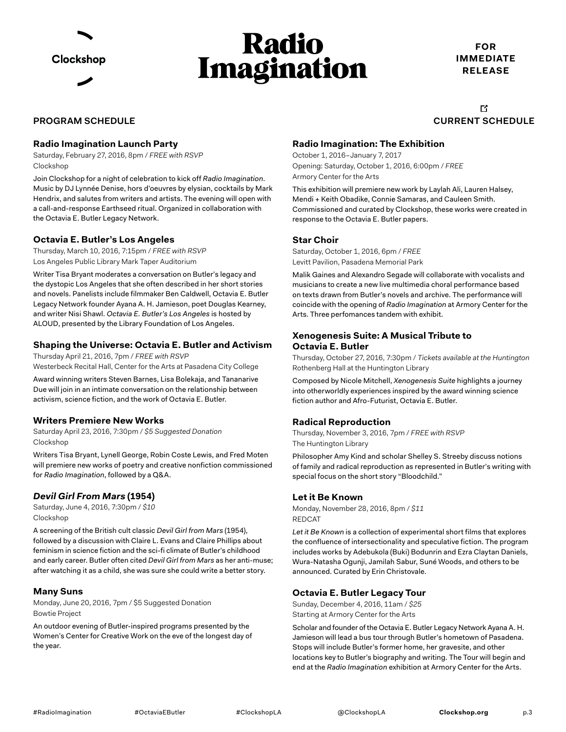

## **Radio** Imagination

**FOR IMMEDIATE RELEASE**

**[CURRENT](http://clockshop.org/project/trailers-and-videos/) [SCHEDULE](http://clockshop.org/project/radio-imagination/)** 

吖

#### **PROGRAM SCHEDULE**

#### **Radio Imagination Launch Party**

Saturday, February 27, 2016, 8pm / *FREE with RSVP* Clockshop

Join Clockshop for a night of celebration to kick off *Radio Imagination*. Music by DJ Lynnée Denise, hors d'oeuvres by elysian, cocktails by Mark Hendrix, and salutes from writers and artists. The evening will open with a call-and-response Earthseed ritual. Organized in collaboration with the Octavia E. Butler Legacy Network.

#### **Octavia E. Butler's Los Angeles**

Thursday, March 10, 2016, 7:15pm / *FREE with RSVP* Los Angeles Public Library Mark Taper Auditorium

Writer Tisa Bryant moderates a conversation on Butler's legacy and the dystopic Los Angeles that she often described in her short stories and novels. Panelists include filmmaker Ben Caldwell, Octavia E. Butler Legacy Network founder Ayana A. H. Jamieson, poet Douglas Kearney, and writer Nisi Shawl. *Octavia E. Butler's Los Angeles* is hosted by ALOUD, presented by the Library Foundation of Los Angeles.

#### **Shaping the Universe: Octavia E. Butler and Activism**

Thursday April 21, 2016, 7pm / *FREE with RSVP* Westerbeck Recital Hall, Center for the Arts at Pasadena City College

Award winning writers Steven Barnes, Lisa Bolekaja, and Tananarive Due will join in an intimate conversation on the relationship between activism, science fiction, and the work of Octavia E. Butler.

#### **Writers Premiere New Works**

Saturday April 23, 2016, 7:30pm / *\$5 Suggested Donation* Clockshop

Writers Tisa Bryant, Lynell George, Robin Coste Lewis, and Fred Moten will premiere new works of poetry and creative nonfiction commissioned for *Radio Imagination*, followed by a Q&A.

#### *Devil Girl From Mars* **(1954)**

Saturday, June 4, 2016, 7:30pm / *\$10* Clockshop

A screening of the British cult classic *Devil Girl from Mars* (1954), followed by a discussion with Claire L. Evans and Claire Phillips about feminism in science fiction and the sci-fi climate of Butler's childhood and early career. Butler often cited *Devil Girl from Mars* as her anti-muse; after watching it as a child, she was sure she could write a better story.

#### **Many Suns**

Monday, June 20, 2016, 7pm / \$5 Suggested Donation Bowtie Project

An outdoor evening of Butler-inspired programs presented by the Women's Center for Creative Work on the eve of the longest day of the year.

#### **Radio Imagination: The Exhibition**

October 1, 2016–January 7, 2017 Opening: Saturday, October 1, 2016, 6:00pm / *FREE* Armory Center for the Arts

This exhibition will premiere new work by Laylah Ali, Lauren Halsey, Mendi + Keith Obadike, Connie Samaras, and Cauleen Smith. Commissioned and curated by Clockshop, these works were created in response to the Octavia E. Butler papers.

#### **Star Choir**

Saturday, October 1, 2016, 6pm / *FREE* Levitt Pavilion, Pasadena Memorial Park

Malik Gaines and Alexandro Segade will collaborate with vocalists and musicians to create a new live multimedia choral performance based on texts drawn from Butler's novels and archive. The performance will coincide with the opening of *Radio Imagination* at Armory Center for the Arts. Three perfomances tandem with exhibit.

#### **Xenogenesis Suite: A Musical Tribute to Octavia E. Butler**

Thursday, October 27, 2016, 7:30pm / *Tickets available at the Huntington*  Rothenberg Hall at the Huntington Library

Composed by Nicole Mitchell, *Xenogenesis Suite* highlights a journey into otherworldly experiences inspired by the award winning science fiction author and Afro-Futurist, Octavia E. Butler.

#### **Radical Reproduction**

Thursday, November 3, 2016, 7pm / *FREE with RSVP* The Huntington Library

Philosopher Amy Kind and scholar Shelley S. Streeby discuss notions of family and radical reproduction as represented in Butler's writing with special focus on the short story "Bloodchild."

#### **Let it Be Known**

Monday, November 28, 2016, 8pm / *\$11*  REDCAT

*Let it Be Known* is a collection of experimental short films that explores the confluence of intersectionality and speculative fiction. The program includes works by Adebukola (Buki) Bodunrin and Ezra Claytan Daniels, Wura-Natasha Ogunji, Jamilah Sabur, Suné Woods, and others to be announced. Curated by Erin Christovale.

#### **Octavia E. Butler Legacy Tour**

Sunday, December 4, 2016, 11am / *\$25* Starting at Armory Center for the Arts

Scholar and founder of the Octavia E. Butler Legacy Network Ayana A. H. Jamieson will lead a bus tour through Butler's hometown of Pasadena. Stops will include Butler's former home, her gravesite, and other locations key to Butler's biography and writing. The Tour will begin and end at the *Radio Imagination* exhibition at Armory Center for the Arts.